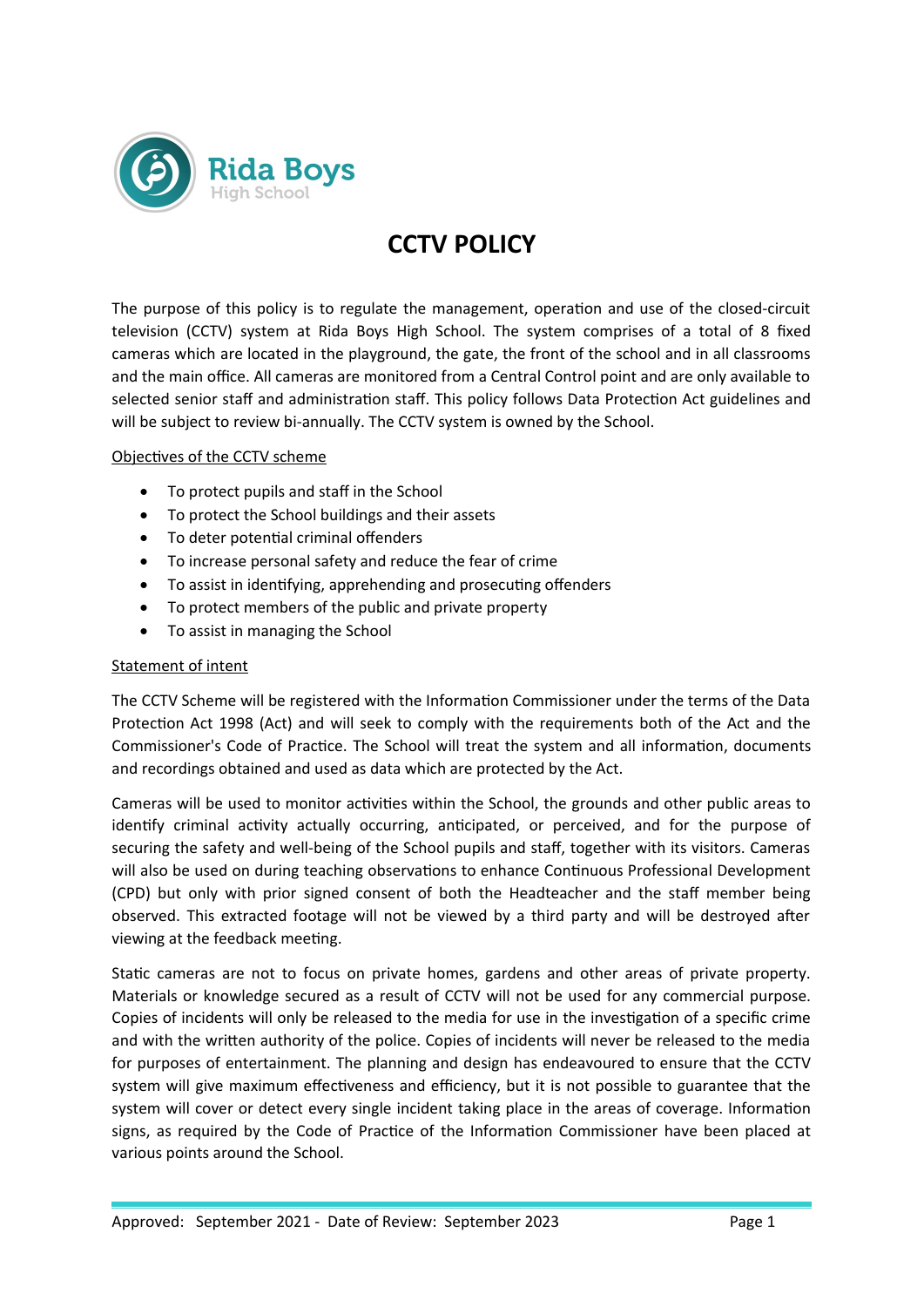

# **CCTV POLICY**

The purpose of this policy is to regulate the management, operation and use of the closed-circuit television (CCTV) system at Rida Boys High School. The system comprises of a total of 8 fixed cameras which are located in the playground, the gate, the front of the school and in all classrooms and the main office. All cameras are monitored from a Central Control point and are only available to selected senior staff and administration staff. This policy follows Data Protection Act guidelines and will be subject to review bi-annually. The CCTV system is owned by the School.

## Objectives of the CCTV scheme

- To protect pupils and staff in the School
- To protect the School buildings and their assets
- To deter potential criminal offenders
- To increase personal safety and reduce the fear of crime
- To assist in identifying, apprehending and prosecuting offenders
- To protect members of the public and private property
- To assist in managing the School

#### Statement of intent

The CCTV Scheme will be registered with the Information Commissioner under the terms of the Data Protection Act 1998 (Act) and will seek to comply with the requirements both of the Act and the Commissioner's Code of Practice. The School will treat the system and all information, documents and recordings obtained and used as data which are protected by the Act.

Cameras will be used to monitor activities within the School, the grounds and other public areas to identify criminal activity actually occurring, anticipated, or perceived, and for the purpose of securing the safety and well-being of the School pupils and staff, together with its visitors. Cameras will also be used on during teaching observations to enhance Continuous Professional Development (CPD) but only with prior signed consent of both the Headteacher and the staff member being observed. This extracted footage will not be viewed by a third party and will be destroyed after viewing at the feedback meeting.

Static cameras are not to focus on private homes, gardens and other areas of private property. Materials or knowledge secured as a result of CCTV will not be used for any commercial purpose. Copies of incidents will only be released to the media for use in the investigation of a specific crime and with the written authority of the police. Copies of incidents will never be released to the media for purposes of entertainment. The planning and design has endeavoured to ensure that the CCTV system will give maximum effectiveness and efficiency, but it is not possible to guarantee that the system will cover or detect every single incident taking place in the areas of coverage. Information signs, as required by the Code of Practice of the Information Commissioner have been placed at various points around the School.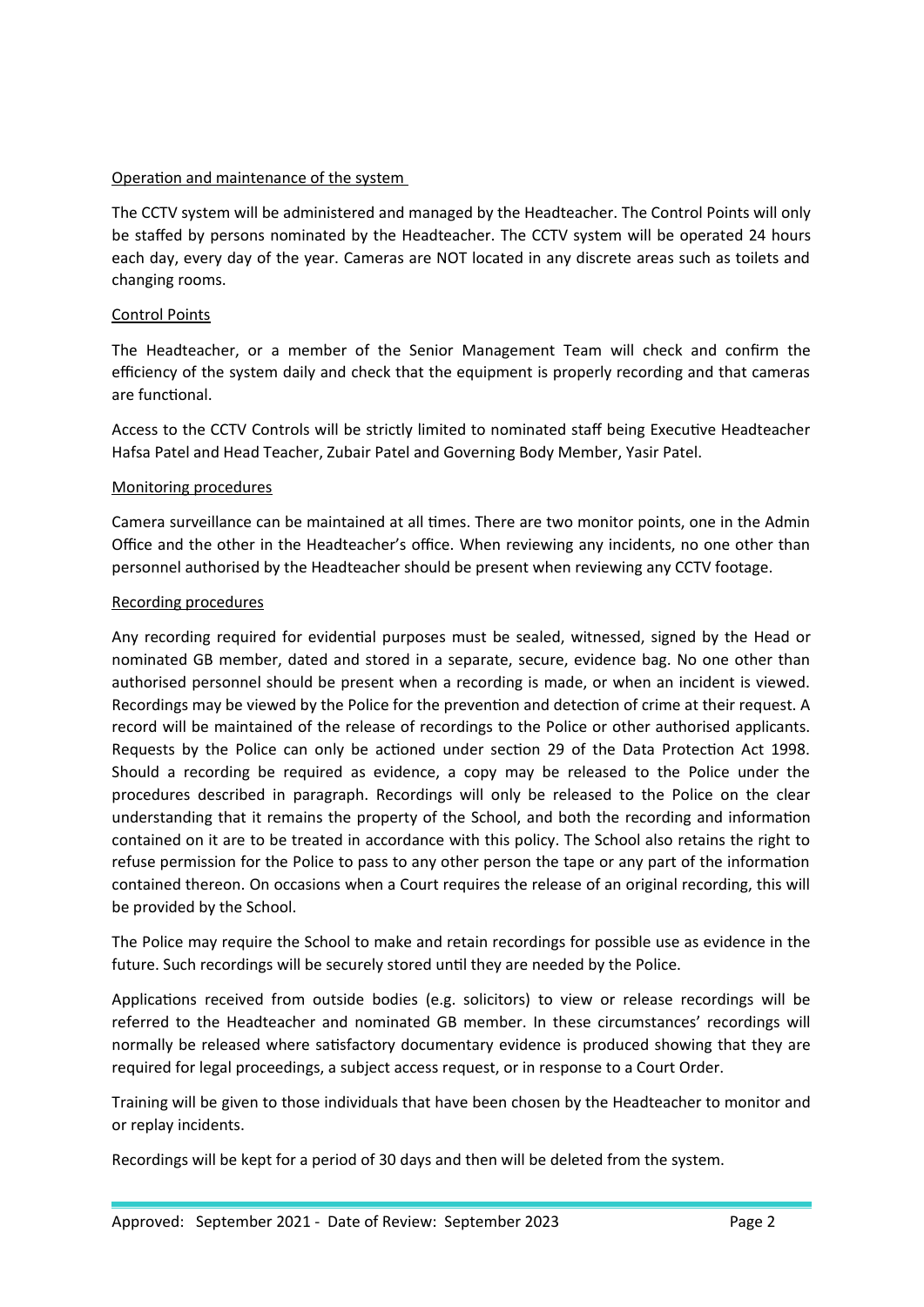## Operation and maintenance of the system

The CCTV system will be administered and managed by the Headteacher. The Control Points will only be staffed by persons nominated by the Headteacher. The CCTV system will be operated 24 hours each day, every day of the year. Cameras are NOT located in any discrete areas such as toilets and changing rooms.

## Control Points

The Headteacher, or a member of the Senior Management Team will check and confirm the efficiency of the system daily and check that the equipment is properly recording and that cameras are functional.

Access to the CCTV Controls will be strictly limited to nominated staff being Executive Headteacher Hafsa Patel and Head Teacher, Zubair Patel and Governing Body Member, Yasir Patel.

## Monitoring procedures

Camera surveillance can be maintained at all times. There are two monitor points, one in the Admin Office and the other in the Headteacher's office. When reviewing any incidents, no one other than personnel authorised by the Headteacher should be present when reviewing any CCTV footage.

#### Recording procedures

Any recording required for evidential purposes must be sealed, witnessed, signed by the Head or nominated GB member, dated and stored in a separate, secure, evidence bag. No one other than authorised personnel should be present when a recording is made, or when an incident is viewed. Recordings may be viewed by the Police for the prevention and detection of crime at their request. A record will be maintained of the release of recordings to the Police or other authorised applicants. Requests by the Police can only be actioned under section 29 of the Data Protection Act 1998. Should a recording be required as evidence, a copy may be released to the Police under the procedures described in paragraph. Recordings will only be released to the Police on the clear understanding that it remains the property of the School, and both the recording and information contained on it are to be treated in accordance with this policy. The School also retains the right to refuse permission for the Police to pass to any other person the tape or any part of the information contained thereon. On occasions when a Court requires the release of an original recording, this will be provided by the School.

The Police may require the School to make and retain recordings for possible use as evidence in the future. Such recordings will be securely stored until they are needed by the Police.

Applications received from outside bodies (e.g. solicitors) to view or release recordings will be referred to the Headteacher and nominated GB member. In these circumstances' recordings will normally be released where satisfactory documentary evidence is produced showing that they are required for legal proceedings, a subject access request, or in response to a Court Order.

Training will be given to those individuals that have been chosen by the Headteacher to monitor and or replay incidents.

Recordings will be kept for a period of 30 days and then will be deleted from the system.